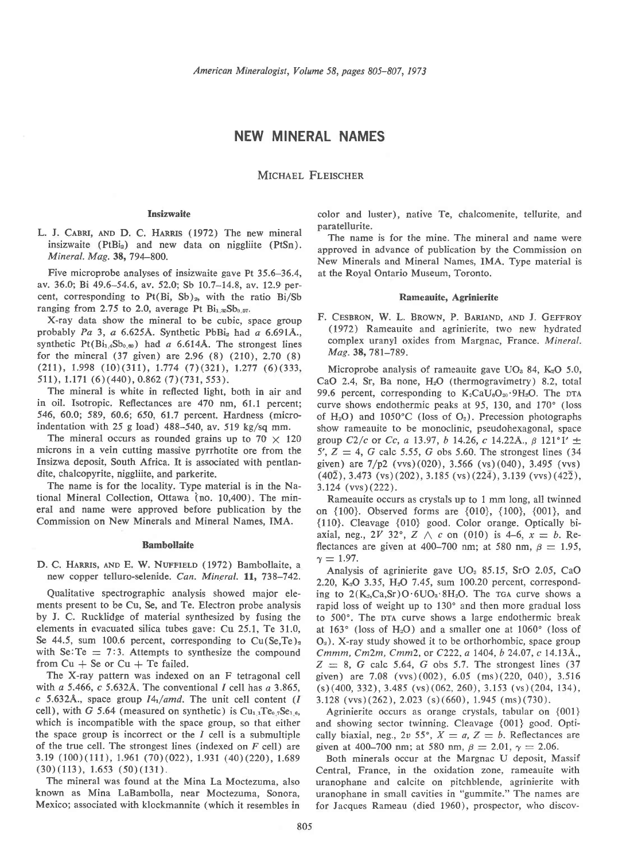## NEW MINERAL NAMES

MICHAEL FLEISCHER

## **Insizwaite**

L. J. CABRI, AND D. C. HARRIS (1972) The new mineral insizwaite (PtBi<sub>2</sub>) and new data on niggliite (PtSn). Mineral. Mag. 38, 794-800.

Five microprobe analyses of insizwaite gave Pt 35,6-36.4, av. 36.0; Bi 49.6-54.6, av. 52.0; Sb 10.7-14.8, av. 12.9 percent, corresponding to Pt(Bi, Sb)<sub>2</sub>, with the ratio Bi/Sb ranging from 2.75 to 2.0, average Pt  $Bi_{1.35}Sb_{0.57}$ .

X-ray data show the mineral to be cubic, space group probably Pa 3, a 6.625Å. Synthetic PbBi<sub>2</sub> had a 6.691Å., synthetic  $Pt(Bi_{1,4}Sb_{0,80})$  had a 6.614Å. The strongest lines for the mineral  $(37 \text{ given})$  are  $2.96 (8) (210)$ ,  $2.70 (8)$  $(211), 1.998 (10)(311), 1.774 (7)(321), 1.277 (6)(333,$ 511), 1.171 (6)(440), 0.862 (7)(73r, ss3).

The mineral is white in reflected light, both in air and in oil. Isotropic, Reflectances are 470 nm, 61.1 percent; 546, 60.0; 589, 60.6; 650, 61.7 percent. Hardness (micro' indentation with 25 g load)  $488-540$ , av. 519 kg/sq mm.

The mineral occurs as rounded grains up to 70  $\times$  120 microns in a vein cutting massive pyrrhotite ore from the Insizwa deposit, South Africa. It is associated with pentlandite, chalcopyrite, niggliite, and parkerite.

The name is for the locality. Type material is in the National Mineral Collection, Ottawa (no. 10,400). The mineral and name were approved before publication by the Commission on New Minerals and Mineral Names. IMA.

### Bambollaite

D. C. HARRIS, AND E. W. NUFFIELD (1972) Bambollaite, a new copper telluro-selenide. Can. Mineral. 11, 738-742.

Qualitative spectrographic analysis showed major elements present to be Cu, Se, and Te. Electron probe analysis by J. C. Rucklidge of material synthesized by fusing the elements in evacuated silica tubes gave: Cu 25.1, Te 31.O, Se 44.5, sum 100.6 percent, corresponding to  $Cu(Se, Te)<sub>2</sub>$ with Se: Te  $= 7:3$ . Attempts to synthesize the compound from  $Cu + Se$  or  $Cu + Te$  failed.

The X-ray pattern was indexed on an F tetragonal cell with a 5.466, c 5.632Å. The conventional  $I$  cell has a 3.865, c 5.632Å., space group  $I4<sub>1</sub>/amd$ . The unit cell content (*I* cell), with G 5.64 (measured on synthetic) is  $Cu_{1,1}Te_{0,7}Se_{1,6}$ , which is incompatible with the space group, so that either the space group is incorrect or the  $I$  cell is a submultiple of the true cell. The strongest lines (indexed on  $F$  cell) are 3. 19 ( 100) ( 111), 1.961 ( 70) ( 022), 1.931 ( 40) ( 220), 1.689  $(30)(113), 1.653 (50)(131).$ 

The mineral was found at the Mina La Moctezuma, also known as Mina LaBambolla, near Moctezuma, Sonora, Mexico; associated with klockmannite (which it resembles in color and luster), native Te, chalcomenite, tellurite, and paratellurite.

The name is for the mine. The mineral and name were approved in advance of publication by the Commission on New Minerals and Mineral Names, IMA. Type material is at the Royal Ontario Museum, Toronto.

#### Rameauite, Agrinierite

F. CESBRON, W. L. BROWN, P. BARIAND, AND J. GEFFROY (19'72) Rameauite and agrinierite, two new hydrated complex uranyl oxides from Margnac, France. Mineral. Maq.38,781-789.

Microprobe analysis of rameauite gave  $UO<sub>3</sub> 84$ ,  $K<sub>2</sub>O 5.0$ , CaO 2.4, Sr, Ba none,  $H<sub>2</sub>O$  (thermogravimetry) 8.2, total 99.6 percent, corresponding to  $K_2$ CaU<sub>8</sub>O<sub>20</sub>.9H<sub>2</sub>O. The DTA curve shows endothermic peaks at 95, 130, and 170" (loss of H<sub>2</sub>O) and 1050°C (loss of  $O_2$ ). Precession photographs show rameauite to be monoclinic, pseudohexagonal, space group C2/c or Cc, a 13.97, b 14.26, c 14.22Å.,  $\beta$  121°1'  $\pm$ 5',  $Z = 4$ , G calc 5.55, G obs 5.60. The strongest lines (34) given) are 7/p2 (ws)(020), 3.566 (vs)(040), 3.495 (ws)  $(40\overline{2}), 3.473$  (vs)  $(202), 3.185$  (vs)  $(22\overline{4}), 3.139$  (vvs)  $(42\overline{2}),$ 3.124 (vvs)(222).

Rameauite occurs as crystals up to 1 mm long, all twinned on {100}. Observed forms are {010}, {100}, {001}, and {110}. Cleavage {010} good. Color orange. Optically biaxial, neg.,  $2V$  32°,  $Z \wedge c$  on (010) is 4-6,  $x = b$ . Reflectances are given at 400-700 nm; at 580 nm,  $\beta = 1.95$ ,  $\gamma = 1.97$ .

Analysis of agrinierite gave UO, 85.15, SrO 2.05, CaO 2.20, K<sub>2</sub>O 3.35, H<sub>2</sub>O 7.45, sum 100.20 percent, corresponding to  $2(K_2,C_3,Sr)O.6UO_3.8H_2O$ . The rga curve shows a rapid loss of weight up to 130° and then more gradual loss to 500°. The DTA curve shows a large endothermic break at 163 $^{\circ}$  (loss of H<sub>2</sub>O) and a smaller one at 1060 $^{\circ}$  (loss of  $O<sub>2</sub>$ ). X-ray study showed it to be orthorhombic, space group Cmmm, Cm2m, Cmm2, or C222, a 1404, b 24.07, c 14.134.,  $Z = 8$ , G calc 5.64, G obs 5.7. The strongest lines (37) given) are 7.08 (ws)(002), 6.05 (ms)(220, 040), 3.516 (s)(a00, 332), 3.485 (vs) (062, 260), 3.153 (vs)(20a, 134), 3.128 (vvs) (262), 2.023 (s) (660), 1.945 (ms) (730).

Agrinierite occurs as orange crystals, tabular on {001} and showing sector twinning. Cleavage {001} good. Optically biaxial, neg.,  $2v$  55°,  $X = a$ ,  $Z = b$ . Reflectances are given at 400-700 nm; at 580 nm,  $\beta = 2.01$ ,  $\gamma = 2.06$ .

Both minerals occur at the Margnac U deposit, Massif Central, France, in the oxidation zone, rameauite with uranophane and calcite on pitchblende, agrinierite with uranophane in small cavities in "gummite." The names are for Jacques Rameau (died 1960), prospector, who discov-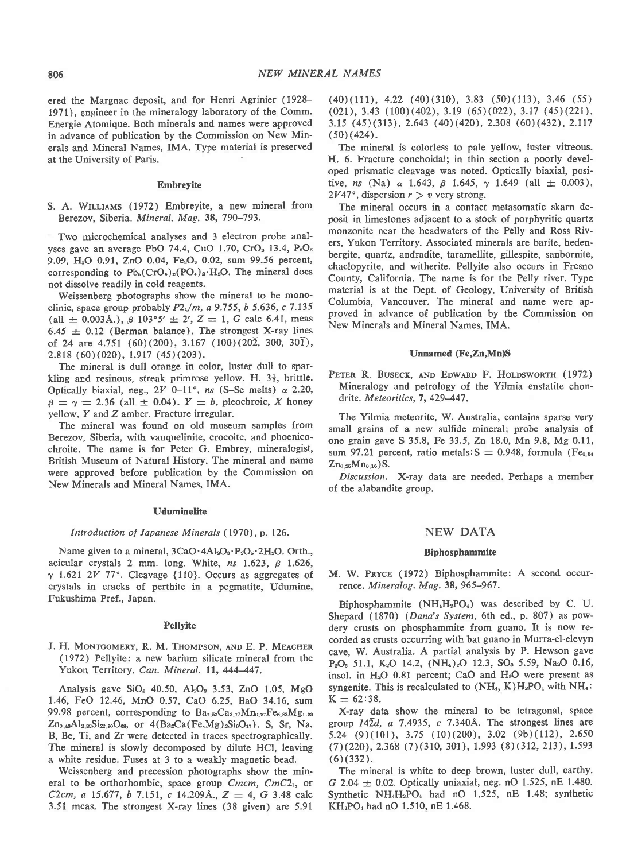ered the Margnac deposit, and for Henri Agrinier (1928- 1971), engineer in the mineralogy laboratory of the Comm. Energie Atomique. Both minerals and names were approved in advance of publication by the Commission on New Minerals and Mineral Names, IMA. Type material is preserved at the University of Paris.

### Embreyite

S. A. WILLIAMS (1972) Embreyite, a new mineral from Berezov, Siberia. Mineral. Mag. 38, 790-793.

Two microchemical analyses and 3 electron probe analyses gave an average PbO 74.4, CuO 1.70, CrO<sub>3</sub> 13.4, P<sub>2</sub>O<sub>5</sub> 9.09, H<sub>2</sub>O 0.91, ZnO 0.04, Fe<sub>2</sub>O<sub>3</sub> 0.02, sum 99.56 percent, corresponding to  $Pb_5(CrO_4)_2(PO_4)_2 \cdot H_2O$ . The mineral does not dissolve readily in cold reagents.

Weissenberg photographs show the mineral to be monoclinic, space group probably  $P2<sub>1</sub>/m$ , a 9.755, b 5.636, c 7.135 (all  $\pm$  0.003Å.),  $\beta$  103°5'  $\pm$  2', Z = 1, G calc 6.41, meas  $6.45 \pm 0.12$  (Berman balance). The strongest X-ray lines of 24 are  $4.751$  (60)(200), 3.167 (100)(202, 300, 301),  $2.818(60)(020)$ ,  $1.917(45)(203)$ .

The mineral is dull orange in color, luster dull to spar' kling and resinous, streak primrose yellow. H.  $3\frac{1}{2}$ , brittle. Optically biaxial, neg.,  $2V$  0-11°, ns (S-Se melts)  $\alpha$  2.20,  $\beta = \gamma = 2.36$  (all  $\pm$  0.04).  $Y = b$ , pleochroic, X honey yellow, Y and Z amber. Fracture irregular.

The mineral was found on old museum samples from Berezov, Siberia, with vauquelinite, crocoite, and phoenicochroite, The name is for Peter G. Embrey, mineralogist, British Museum of Natural History. The mineral and name were approved before publication by the Commission on New Minerals and Mineral Names, IMA.

## Uduminelite

## Introduction of Japanese Minerals (1970), p. 126.

Name given to a mineral,  $3CaO \cdot 4Al_2O_3 \cdot P_2O_5 \cdot 2H_2O$ . Orth., acicular crystals 2 mm. long. White,  $ns$  1.623,  $\beta$  1.626,  $\gamma$  1.621 2V 77°. Cleavage {110}. Occurs as aggregates of crystals in cracks of perthite in a pegmatite, Udumine, Fukushima Pref., Japan.

#### Pellyite

J. H. MONTGOMERY, R. M. THOMPSON, AND E. P. MEAGHER (1972) Pellyite: a new barium silicate mineral from the Yukon Territory. Can. Mineral. 11, 444-447.

Analysis gave  $SiO_2$  40.50,  $Al_2O_3$  3.53, ZnO 1.05, MgO 1.46, FeO 12.46, MnO 0.57, CaO 6.25, BaO 34.16, sum 99.98 percent, corresponding to  $Ba_{7.53}Ca_{3.77}Mn_{0.27}Fe_{5.83}Mg_{1.23}$  $Zn_{0.48}Al_{3.85}Si_{22.80}O_{68}$ , or  $4(Ba_2Ca(Fe, Mg)_2Si_6O_{17})$ . S, Sr, Na, B, Be, Ti, and Zr were detected in traces spectrographically. The mineral is slowly decomposed by dilute HCl, leaving a white residue. Fuses at 3 to a weakly magnetic bead.

Weissenberg and precession photographs show the mineral to be orthorhombic, space group  $Cmcm$ ,  $CmC2<sub>1</sub>$ , or C2cm, a 15.677, b 7.151, c 14.209Å.,  $Z = 4$ , G 3.48 calc 3.51 meas. The strongest X-ray lines (38 given) are 5.91

 $(40)(111)$ , 4.22  $(40)(310)$ , 3.83  $(50)(113)$ , 3.46  $(55)$  $(021), 3.43 (100)(402), 3.19 (65)(022), 3.17 (45)(221),$ 3.15  $(45)(313)$ , 2.643  $(40)(420)$ , 2.308  $(60)(432)$ , 2.117  $(50)(424)$ .

The mineral is colorless to pale yellow, luster vitreous. H. 6. Fracture conchoidal; in thin section a poorly developed prismatic cleavage was noted, Optically biaxial, positive, ns (Na)  $\alpha$  1.643,  $\beta$  1.645,  $\gamma$  1.649 (all  $\pm$  0.003),  $2V47^{\circ}$ , dispersion  $r > v$  very strong.

The mineral occurs in a contact metasomatic skarn deposit in limestones adjacent to a stock of porphyritic quartz monzonite near the headwaters of the Pelly and Ross Rivers, Yukon Territory. Associated minerals are barite, hedenbergite, quartz, andradite, taramellite, gillespite, sanbornite, chaclopyrite, and witherite. Pellyite also occurs in Fresno County, California. The name is for the Pelly river. Type material is at the Dept. of Geology, University of British Columbia, Vancouver. The mineral and name were approved in advance of publication by the Commission on New Minerals and Mineral Names, IMA.

## Unnamed (Fe,Zn,Mn)S

PETER R. BUSECK, AND EDWARD F. HOLDSWORTH (1972) Mineralogy and petrology of the Yilmia enstatite chondrite. Meteoritics, 7, 429-447.

The Yilmia meteorite, W. Australia, contains sparse very small grains of a new sulfide mineral; probe analysis of one grain gave S 35.8, Fe 33.5, Zn 18.0, Mn 9.8, Mg 0.11, sum 97.21 percent, ratio metals:  $S = 0.948$ , formula (Fe<sub>0.54</sub>)  $Zn_{0.25}Mn_{0.16}$ )S.

Discussion, X-ray data are needed. Perhaps a member of the alabandite group.

## NEW DATA

## Biphosphammite

M. W. PRYCE (1972) Biphosphammite: A second occurrence, Mineralog. Mag. 38, 965-967.

Biphosphammite  $(NH_4H_2PO_4)$  was described by C. U. Shepard (1870) (Dana's System, 6th ed., p. 807) as powdery crusts on phosphammite from guano. It is now recorded as crusts occurring with bat guano in Murra-el-elevyn cave, W. Australia, A partial analysis by P. Hewson gave  $P_2O_5$  51.1, K<sub>2</sub>O 14.2, (NH<sub>4</sub>)<sub>2</sub>O 12.3, SO<sub>3</sub> 5.59, Na<sub>2</sub>O 0.16, insol. in  $H<sub>2</sub>O$  0.81 percent; CaO and  $H<sub>2</sub>O$  were present as syngenite. This is recalculated to  $(NH_4, K)H_2PO_4$  with  $NH_4$ :  $K = 62:38.$ 

X-ray data show the mineral to be tetragonal, space group  $14\overline{2}d$ , a 7.4935, c 7.340Å. The strongest lines are 5.24 (9)(101), 3.75 (10)(200), 3.02 (9b)(112), 2.650  $(7)(220)$ , 2.368  $(7)(310, 301)$ , 1.993  $(8)(312, 213)$ , 1.593 (6) (332).

The mineral is white to deep brown, luster dull, earthy. G 2.04  $\pm$  0.02. Optically uniaxial, neg. nO 1.525, nE 1.480. Synthetic NH.H.PO, had nO 1.525, nE 1.48; synthetic KH<sub>2</sub>PO<sub>4</sub> had nO 1.510, nE 1.468.